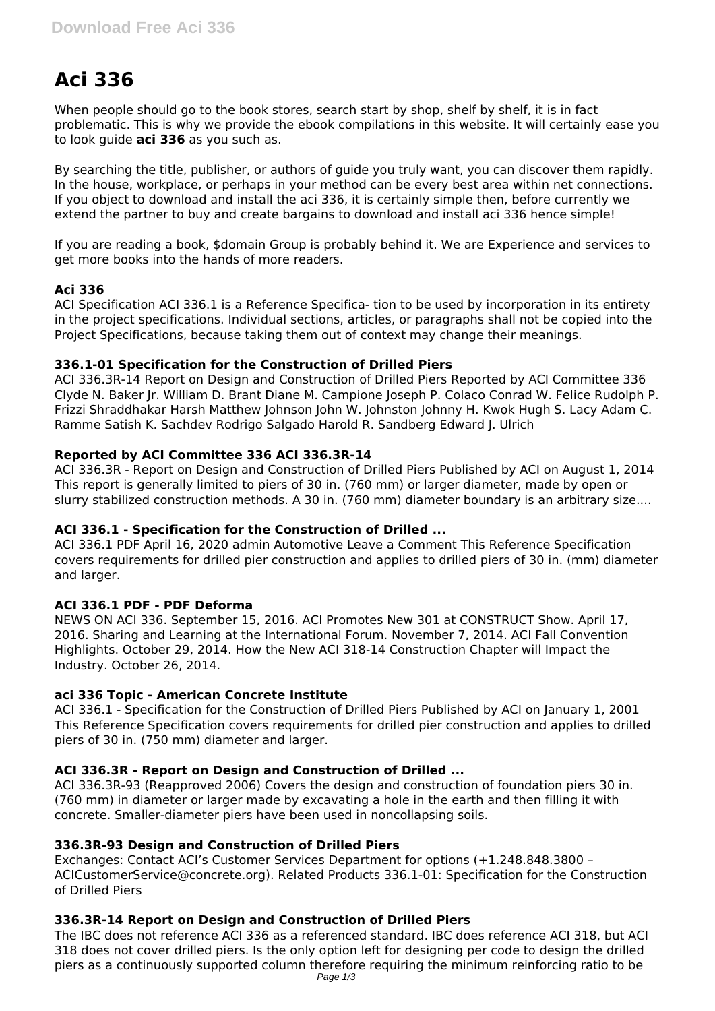# **Aci 336**

When people should go to the book stores, search start by shop, shelf by shelf, it is in fact problematic. This is why we provide the ebook compilations in this website. It will certainly ease you to look guide **aci 336** as you such as.

By searching the title, publisher, or authors of guide you truly want, you can discover them rapidly. In the house, workplace, or perhaps in your method can be every best area within net connections. If you object to download and install the aci 336, it is certainly simple then, before currently we extend the partner to buy and create bargains to download and install aci 336 hence simple!

If you are reading a book, \$domain Group is probably behind it. We are Experience and services to get more books into the hands of more readers.

# **Aci 336**

ACI Specification ACI 336.1 is a Reference Specifica- tion to be used by incorporation in its entirety in the project specifications. Individual sections, articles, or paragraphs shall not be copied into the Project Specifications, because taking them out of context may change their meanings.

# **336.1-01 Specification for the Construction of Drilled Piers**

ACI 336.3R-14 Report on Design and Construction of Drilled Piers Reported by ACI Committee 336 Clyde N. Baker Jr. William D. Brant Diane M. Campione Joseph P. Colaco Conrad W. Felice Rudolph P. Frizzi Shraddhakar Harsh Matthew Johnson John W. Johnston Johnny H. Kwok Hugh S. Lacy Adam C. Ramme Satish K. Sachdev Rodrigo Salgado Harold R. Sandberg Edward J. Ulrich

# **Reported by ACI Committee 336 ACI 336.3R-14**

ACI 336.3R - Report on Design and Construction of Drilled Piers Published by ACI on August 1, 2014 This report is generally limited to piers of 30 in. (760 mm) or larger diameter, made by open or slurry stabilized construction methods. A 30 in. (760 mm) diameter boundary is an arbitrary size....

# **ACI 336.1 - Specification for the Construction of Drilled ...**

ACI 336.1 PDF April 16, 2020 admin Automotive Leave a Comment This Reference Specification covers requirements for drilled pier construction and applies to drilled piers of 30 in. (mm) diameter and larger.

# **ACI 336.1 PDF - PDF Deforma**

NEWS ON ACI 336. September 15, 2016. ACI Promotes New 301 at CONSTRUCT Show. April 17, 2016. Sharing and Learning at the International Forum. November 7, 2014. ACI Fall Convention Highlights. October 29, 2014. How the New ACI 318-14 Construction Chapter will Impact the Industry. October 26, 2014.

# **aci 336 Topic - American Concrete Institute**

ACI 336.1 - Specification for the Construction of Drilled Piers Published by ACI on January 1, 2001 This Reference Specification covers requirements for drilled pier construction and applies to drilled piers of 30 in. (750 mm) diameter and larger.

# **ACI 336.3R - Report on Design and Construction of Drilled ...**

ACI 336.3R-93 (Reapproved 2006) Covers the design and construction of foundation piers 30 in. (760 mm) in diameter or larger made by excavating a hole in the earth and then filling it with concrete. Smaller-diameter piers have been used in noncollapsing soils.

# **336.3R-93 Design and Construction of Drilled Piers**

Exchanges: Contact ACI's Customer Services Department for options (+1.248.848.3800 – ACICustomerService@concrete.org). Related Products 336.1-01: Specification for the Construction of Drilled Piers

# **336.3R-14 Report on Design and Construction of Drilled Piers**

The IBC does not reference ACI 336 as a referenced standard. IBC does reference ACI 318, but ACI 318 does not cover drilled piers. Is the only option left for designing per code to design the drilled piers as a continuously supported column therefore requiring the minimum reinforcing ratio to be Page  $1/3$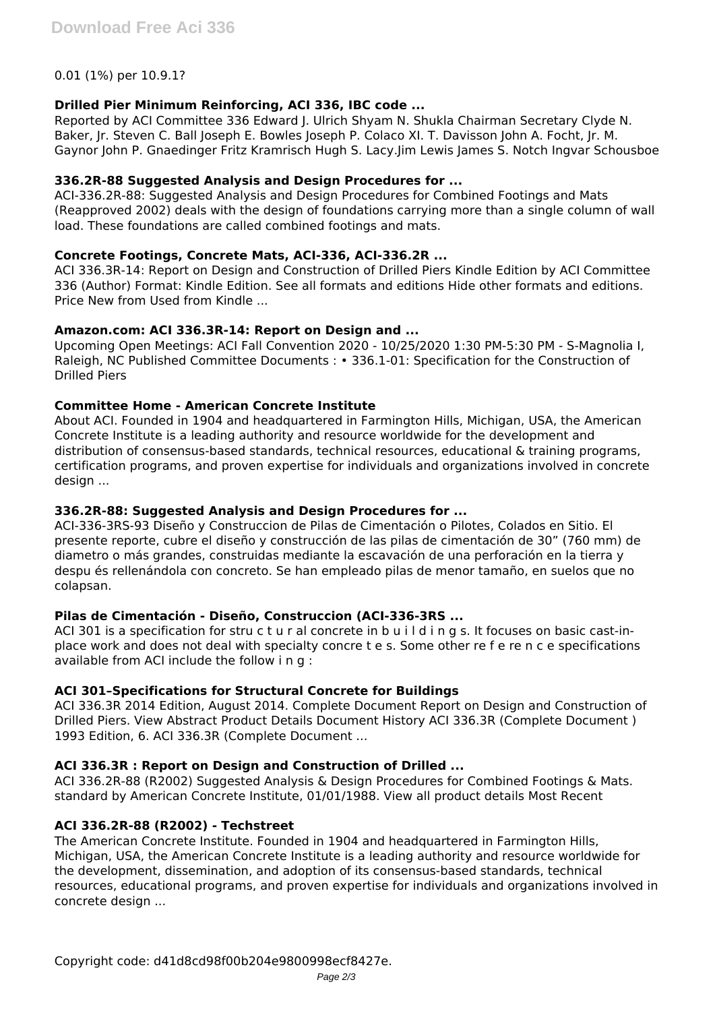### 0.01 (1%) per 10.9.1?

### **Drilled Pier Minimum Reinforcing, ACI 336, IBC code ...**

Reported by ACI Committee 336 Edward J. Ulrich Shyam N. Shukla Chairman Secretary Clyde N. Baker, Jr. Steven C. Ball Joseph E. Bowles Joseph P. Colaco XI. T. Davisson John A. Focht, Jr. M. Gaynor John P. Gnaedinger Fritz Kramrisch Hugh S. Lacy.Jim Lewis James S. Notch Ingvar Schousboe

### **336.2R-88 Suggested Analysis and Design Procedures for ...**

ACI-336.2R-88: Suggested Analysis and Design Procedures for Combined Footings and Mats (Reapproved 2002) deals with the design of foundations carrying more than a single column of wall load. These foundations are called combined footings and mats.

#### **Concrete Footings, Concrete Mats, ACI-336, ACI-336.2R ...**

ACI 336.3R-14: Report on Design and Construction of Drilled Piers Kindle Edition by ACI Committee 336 (Author) Format: Kindle Edition. See all formats and editions Hide other formats and editions. Price New from Used from Kindle ...

#### **Amazon.com: ACI 336.3R-14: Report on Design and ...**

Upcoming Open Meetings: ACI Fall Convention 2020 - 10/25/2020 1:30 PM-5:30 PM - S-Magnolia I, Raleigh, NC Published Committee Documents : • 336.1-01: Specification for the Construction of Drilled Piers

# **Committee Home - American Concrete Institute**

About ACI. Founded in 1904 and headquartered in Farmington Hills, Michigan, USA, the American Concrete Institute is a leading authority and resource worldwide for the development and distribution of consensus-based standards, technical resources, educational & training programs, certification programs, and proven expertise for individuals and organizations involved in concrete design ...

#### **336.2R-88: Suggested Analysis and Design Procedures for ...**

ACI-336-3RS-93 Diseño y Construccion de Pilas de Cimentación o Pilotes, Colados en Sitio. El presente reporte, cubre el diseño y construcción de las pilas de cimentación de 30" (760 mm) de diametro o más grandes, construidas mediante la escavación de una perforación en la tierra y despu és rellenándola con concreto. Se han empleado pilas de menor tamaño, en suelos que no colapsan.

#### **Pilas de Cimentación - Diseño, Construccion (ACI-336-3RS ...**

ACI 301 is a specification for stru c t u r al concrete in b u i l d i n g s. It focuses on basic cast-inplace work and does not deal with specialty concre t e s. Some other re f e re n c e specifications available from ACI include the follow i n g :

# **ACI 301–Specifications for Structural Concrete for Buildings**

ACI 336.3R 2014 Edition, August 2014. Complete Document Report on Design and Construction of Drilled Piers. View Abstract Product Details Document History ACI 336.3R (Complete Document ) 1993 Edition, 6. ACI 336.3R (Complete Document ...

# **ACI 336.3R : Report on Design and Construction of Drilled ...**

ACI 336.2R-88 (R2002) Suggested Analysis & Design Procedures for Combined Footings & Mats. standard by American Concrete Institute, 01/01/1988. View all product details Most Recent

#### **ACI 336.2R-88 (R2002) - Techstreet**

The American Concrete Institute. Founded in 1904 and headquartered in Farmington Hills, Michigan, USA, the American Concrete Institute is a leading authority and resource worldwide for the development, dissemination, and adoption of its consensus-based standards, technical resources, educational programs, and proven expertise for individuals and organizations involved in concrete design ...